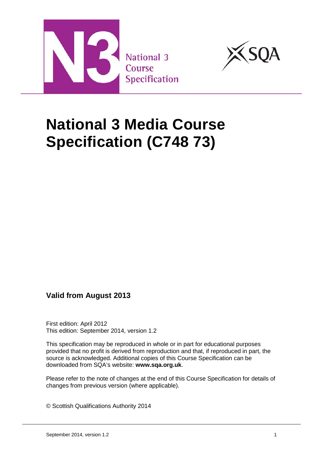



# **National 3 Media Course Specification (C748 73)**

## **Valid from August 2013**

First edition: April 2012 This edition: September 2014, version 1.2

This specification may be reproduced in whole or in part for educational purposes provided that no profit is derived from reproduction and that, if reproduced in part, the source is acknowledged. Additional copies of this Course Specification can be downloaded from SQA's website: **[www.sqa.org.uk](http://www.sqa.org.uk/)**.

Please refer to the note of changes at the end of this Course Specification for details of changes from previous version (where applicable).

© Scottish Qualifications Authority 2014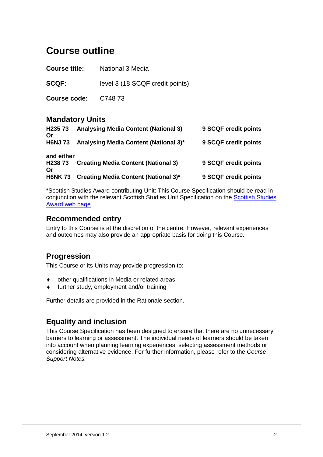## **Course outline**

**Course title:** National 3 Media

**SCQF:** level 3 (18 SCQF credit points)

**Course code:** C748 73

### **Mandatory Units**

| H23573<br>Or               | <b>Analysing Media Content (National 3)</b> | 9 SCQF credit points |
|----------------------------|---------------------------------------------|----------------------|
| <b>H6NJ73</b>              | Analysing Media Content (National 3)*       | 9 SCQF credit points |
| and either<br>H23873<br>Or | <b>Creating Media Content (National 3)</b>  | 9 SCQF credit points |
| <b>H6NK 73</b>             | <b>Creating Media Content (National 3)*</b> | 9 SCQF credit points |

\*Scottish Studies Award contributing Unit: This Course Specification should be read in conjunction with the relevant [Scottish Studies](http://www.sqa.org.uk/sqa/64329.html) Unit Specification on the Scottish Studies [Award web page](http://www.sqa.org.uk/sqa/64329.html)

### **Recommended entry**

Entry to this Course is at the discretion of the centre. However, relevant experiences and outcomes may also provide an appropriate basis for doing this Course.

## **Progression**

This Course or its Units may provide progression to:

- other qualifications in Media or related areas
- further study, employment and/or training

Further details are provided in the Rationale section.

## **Equality and inclusion**

This Course Specification has been designed to ensure that there are no unnecessary barriers to learning or assessment. The individual needs of learners should be taken into account when planning learning experiences, selecting assessment methods or considering alternative evidence. For further information, please refer to the *Course Support Notes.*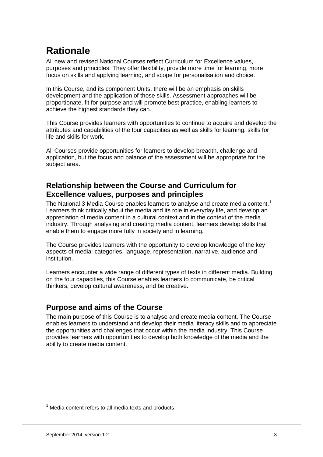## **Rationale**

All new and revised National Courses reflect Curriculum for Excellence values, purposes and principles. They offer flexibility, provide more time for learning, more focus on skills and applying learning, and scope for personalisation and choice.

In this Course, and its component Units, there will be an emphasis on skills development and the application of those skills. Assessment approaches will be proportionate, fit for purpose and will promote best practice, enabling learners to achieve the highest standards they can.

This Course provides learners with opportunities to continue to acquire and develop the attributes and capabilities of the four capacities as well as skills for learning, skills for life and skills for work.

All Courses provide opportunities for learners to develop breadth, challenge and application, but the focus and balance of the assessment will be appropriate for the subject area.

## **Relationship between the Course and Curriculum for Excellence values, purposes and principles**

The National 3 Media Course enables learners to analyse and create media content.<sup>[1](#page-2-0)</sup> Learners think critically about the media and its role in everyday life, and develop an appreciation of media content in a cultural context and in the context of the media industry. Through analysing and creating media content, learners develop skills that enable them to engage more fully in society and in learning.

The Course provides learners with the opportunity to develop knowledge of the key aspects of media: categories, language, representation, narrative, audience and institution.

Learners encounter a wide range of different types of texts in different media. Building on the four capacities, this Course enables learners to communicate, be critical thinkers, develop cultural awareness, and be creative.

## **Purpose and aims of the Course**

The main purpose of this Course is to analyse and create media content. The Course enables learners to understand and develop their media literacy skills and to appreciate the opportunities and challenges that occur within the media industry. This Course provides learners with opportunities to develop both knowledge of the media and the ability to create media content.

<span id="page-2-0"></span>Media content refers to all media texts and products.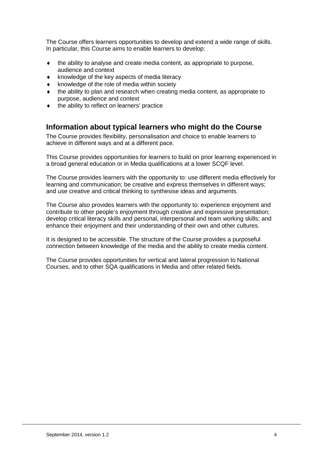The Course offers learners opportunities to develop and extend a wide range of skills. In particular, this Course aims to enable learners to develop:

- ♦ the ability to analyse and create media content, as appropriate to purpose, audience and context
- ♦ knowledge of the key aspects of media literacy
- ♦ knowledge of the role of media within society
- $\bullet$  the ability to plan and research when creating media content, as appropriate to purpose, audience and context
- the ability to reflect on learners' practice

### **Information about typical learners who might do the Course**

The Course provides flexibility, personalisation and choice to enable learners to achieve in different ways and at a different pace.

This Course provides opportunities for learners to build on prior learning experienced in a broad general education or in Media qualifications at a lower SCQF level.

The Course provides learners with the opportunity to: use different media effectively for learning and communication; be creative and express themselves in different ways; and use creative and critical thinking to synthesise ideas and arguments.

The Course also provides learners with the opportunity to: experience enjoyment and contribute to other people's enjoyment through creative and expressive presentation; develop critical literacy skills and personal, interpersonal and team working skills; and enhance their enjoyment and their understanding of their own and other cultures.

It is designed to be accessible. The structure of the Course provides a purposeful connection between knowledge of the media and the ability to create media content.

The Course provides opportunities for vertical and lateral progression to National Courses, and to other SQA qualifications in Media and other related fields.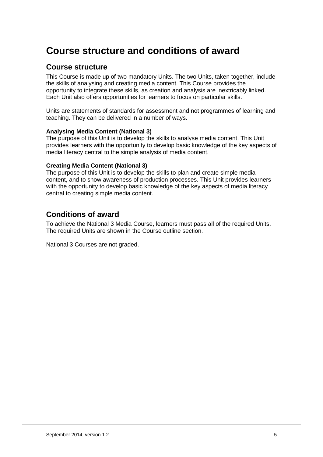## **Course structure and conditions of award**

#### **Course structure**

This Course is made up of two mandatory Units. The two Units, taken together, include the skills of analysing and creating media content. This Course provides the opportunity to integrate these skills, as creation and analysis are inextricably linked. Each Unit also offers opportunities for learners to focus on particular skills.

Units are statements of standards for assessment and not programmes of learning and teaching. They can be delivered in a number of ways.

#### **Analysing Media Content (National 3)**

The purpose of this Unit is to develop the skills to analyse media content. This Unit provides learners with the opportunity to develop basic knowledge of the key aspects of media literacy central to the simple analysis of media content.

#### **Creating Media Content (National 3)**

The purpose of this Unit is to develop the skills to plan and create simple media content, and to show awareness of production processes. This Unit provides learners with the opportunity to develop basic knowledge of the key aspects of media literacy central to creating simple media content.

### **Conditions of award**

To achieve the National 3 Media Course, learners must pass all of the required Units. The required Units are shown in the Course outline section.

National 3 Courses are not graded.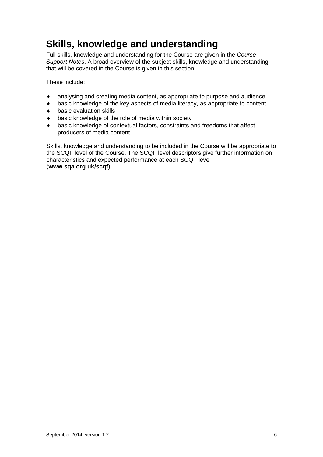## **Skills, knowledge and understanding**

Full skills, knowledge and understanding for the Course are given in the *Course Support Notes*. A broad overview of the subject skills, knowledge and understanding that will be covered in the Course is given in this section.

These include:

- ♦ analysing and creating media content, as appropriate to purpose and audience
- ♦ basic knowledge of the key aspects of media literacy, as appropriate to content
- $\bullet$  basic evaluation skills
- ♦ basic knowledge of the role of media within society
- ♦ basic knowledge of contextual factors, constraints and freedoms that affect producers of media content

Skills, knowledge and understanding to be included in the Course will be appropriate to the SCQF level of the Course. The SCQF level descriptors give further information on characteristics and expected performance at each SCQF level (**[www.sqa.org.uk/scqf](http://www.sqa.org.uk/sqa/4595.html)**).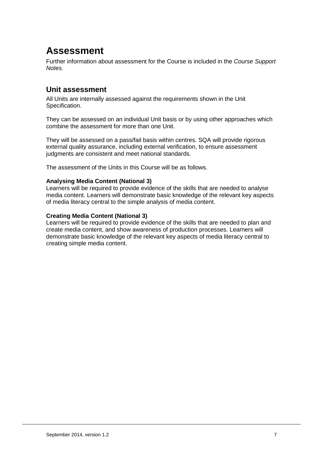## **Assessment**

Further information about assessment for the Course is included in the *Course Support Notes.* 

### **Unit assessment**

All Units are internally assessed against the requirements shown in the Unit Specification.

They can be assessed on an individual Unit basis or by using other approaches which combine the assessment for more than one Unit.

They will be assessed on a pass/fail basis within centres. SQA will provide rigorous external quality assurance, including external verification, to ensure assessment judgments are consistent and meet national standards.

The assessment of the Units in this Course will be as follows.

#### **Analysing Media Content (National 3)**

Learners will be required to provide evidence of the skills that are needed to analyse media content. Learners will demonstrate basic knowledge of the relevant key aspects of media literacy central to the simple analysis of media content.

#### **Creating Media Content (National 3)**

Learners will be required to provide evidence of the skills that are needed to plan and create media content, and show awareness of production processes. Learners will demonstrate basic knowledge of the relevant key aspects of media literacy central to creating simple media content.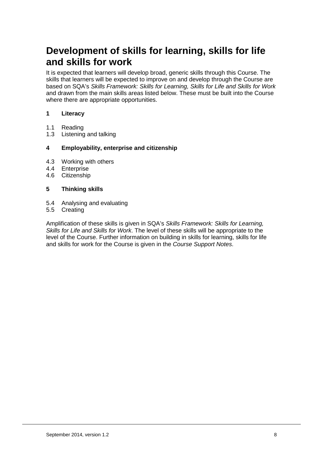## **Development of skills for learning, skills for life and skills for work**

It is expected that learners will develop broad, generic skills through this Course. The skills that learners will be expected to improve on and develop through the Course are based on SQA's *Skills Framework: Skills for Learning, Skills for Life and Skills for Work*  and drawn from the main skills areas listed below. These must be built into the Course where there are appropriate opportunities.

#### **1 Literacy**

- 1.1 Reading<br>1.3 Listening
- Listening and talking

#### **4 Employability, enterprise and citizenship**

- 4.3 Working with others
- 4.4 Enterprise
- 4.6 Citizenship

#### **5 Thinking skills**

- 5.4 Analysing and evaluating
- 5.5 Creating

Amplification of these skills is given in SQA's *Skills Framework: Skills for Learning, Skills for Life and Skills for Work*. The level of these skills will be appropriate to the level of the Course. Further information on building in skills for learning, skills for life and skills for work for the Course is given in the *Course Support Notes*.